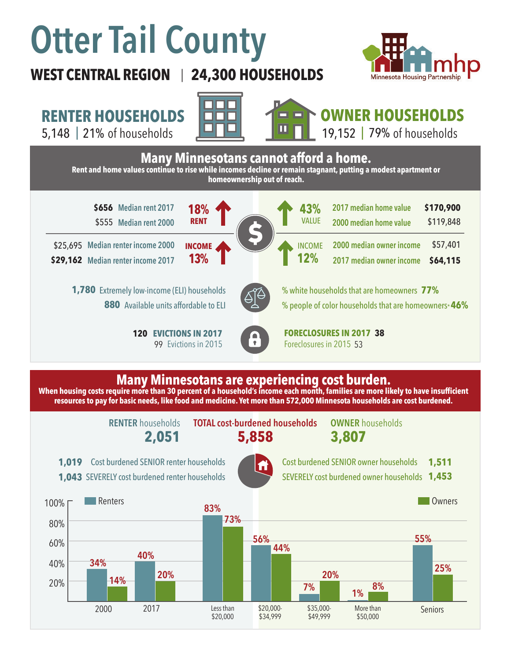# **Otter Tail County**

## **WEST CENTRAL REGION 24,300 HOUSEHOLDS**  |



**RENTER HOUSEHOLDS**

5,148 | of households 21% 79%





**OWNER HOUSEHOLDS** 19,152 | 79% of households



### **Many Minnesotans are experiencing cost burden.**

**When housing costs require more than 30 percent of a household's income each month, families are more likely to have insufficient resources to pay for basic needs, like food and medicine. Yet more than 572,000 Minnesota households are cost burdened.**